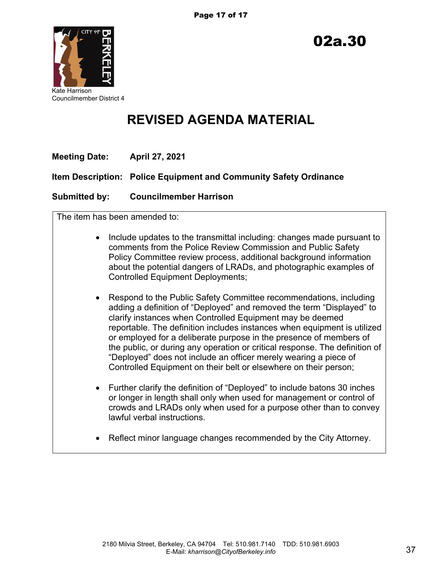

Councilmember District 4

# **REVISED AGENDA MATERIAL**

| Meeting Date: | <b>April 27, 2021</b>                                             |
|---------------|-------------------------------------------------------------------|
|               | Item Description: Police Equipment and Community Safety Ordinance |
| Submitted by: | <b>Councilmember Harrison</b>                                     |

The item has been amended to:

- Include updates to the transmittal including: changes made pursuant to comments from the Police Review Commission and Public Safety Policy Committee review process, additional background information about the potential dangers of LRADs, and photographic examples of Controlled Equipment Deployments;
- Respond to the Public Safety Committee recommendations, including adding a definition of "Deployed" and removed the term "Displayed" to clarify instances when Controlled Equipment may be deemed reportable. The definition includes instances when equipment is utilized or employed for a deliberate purpose in the presence of members of the public, or during any operation or critical response. The definition of "Deployed" does not include an officer merely wearing a piece of Controlled Equipment on their belt or elsewhere on their person;
- Further clarify the definition of "Deployed" to include batons 30 inches or longer in length shall only when used for management or control of crowds and LRADs only when used for a purpose other than to convey lawful verbal instructions.
- Reflect minor language changes recommended by the City Attorney.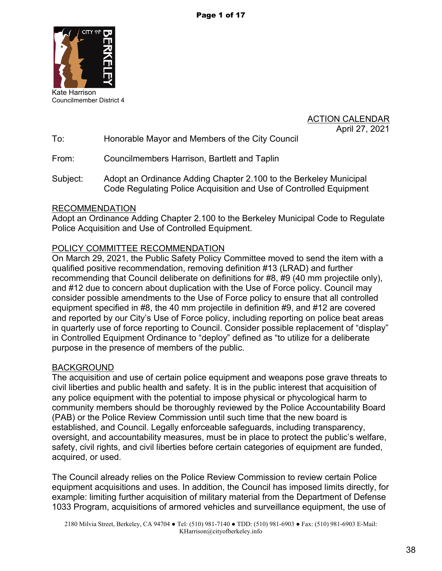

Kate Harrison Councilmember District 4

**ACTION CALENDAR** April 27, 2021

To: Honorable Mayor and Members of the City Council

From: Councilmembers Harrison, Bartlett and Taplin

Subject: Adopt an Ordinance Adding Chapter 2.100 to the Berkeley Municipal Code Regulating Police Acquisition and Use of Controlled Equipment

## RECOMMENDATION

Adopt an Ordinance Adding Chapter 2.100 to the Berkeley Municipal Code to Regulate Police Acquisition and Use of Controlled Equipment.

## POLICY COMMITTEE RECOMMENDATION

On March 29, 2021, the Public Safety Policy Committee moved to send the item with a qualified positive recommendation, removing definition #13 (LRAD) and further recommending that Council deliberate on definitions for #8, #9 (40 mm projectile only), and #12 due to concern about duplication with the Use of Force policy. Council may consider possible amendments to the Use of Force policy to ensure that all controlled equipment specified in #8, the 40 mm projectile in definition #9, and #12 are covered and reported by our City's Use of Force policy, including reporting on police beat areas in quarterly use of force reporting to Council. Consider possible replacement of "display" in Controlled Equipment Ordinance to "deploy" defined as "to utilize for a deliberate purpose in the presence of members of the public.

#### BACKGROUND

The acquisition and use of certain police equipment and weapons pose grave threats to civil liberties and public health and safety. It is in the public interest that acquisition of any police equipment with the potential to impose physical or phycological harm to community members should be thoroughly reviewed by the Police Accountability Board (PAB) or the Police Review Commission until such time that the new board is established, and Council. Legally enforceable safeguards, including transparency, oversight, and accountability measures, must be in place to protect the public's welfare, safety, civil rights, and civil liberties before certain categories of equipment are funded, acquired, or used.

The Council already relies on the Police Review Commission to review certain Police equipment acquisitions and uses. In addition, the Council has imposed limits directly, for example: limiting further acquisition of military material from the Department of Defense 1033 Program, acquisitions of armored vehicles and surveillance equipment, the use of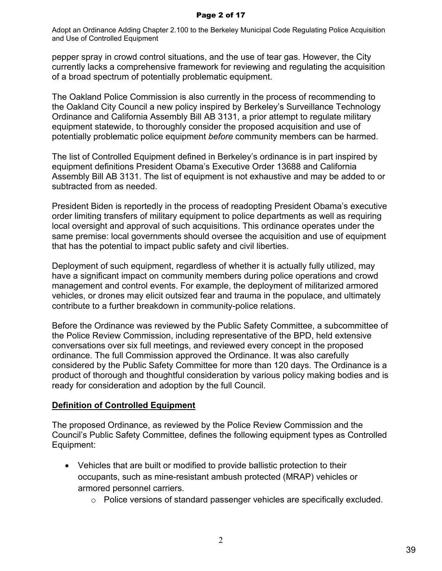Adopt an Ordinance Adding Chapter 2.100 to the Berkeley Municipal Code Regulating Police Acquisition and Use of Controlled Equipment

pepper spray in crowd control situations, and the use of tear gas. However, the City currently lacks a comprehensive framework for reviewing and regulating the acquisition of a broad spectrum of potentially problematic equipment.

The Oakland Police Commission is also currently in the process of recommending to the Oakland City Council a new policy inspired by Berkeley's Surveillance Technology Ordinance and California Assembly Bill AB 3131, a prior attempt to regulate military equipment statewide, to thoroughly consider the proposed acquisition and use of potentially problematic police equipment *before* community members can be harmed.

The list of Controlled Equipment defined in Berkeley's ordinance is in part inspired by equipment definitions President Obama's Executive Order 13688 and California Assembly Bill AB 3131. The list of equipment is not exhaustive and may be added to or subtracted from as needed.

President Biden is reportedly in the process of readopting President Obama's executive order limiting transfers of military equipment to police departments as well as requiring local oversight and approval of such acquisitions. This ordinance operates under the same premise: local governments should oversee the acquisition and use of equipment that has the potential to impact public safety and civil liberties.

Deployment of such equipment, regardless of whether it is actually fully utilized, may have a significant impact on community members during police operations and crowd management and control events. For example, the deployment of militarized armored vehicles, or drones may elicit outsized fear and trauma in the populace, and ultimately contribute to a further breakdown in community-police relations.

Before the Ordinance was reviewed by the Public Safety Committee, a subcommittee of the Police Review Commission, including representative of the BPD, held extensive conversations over six full meetings, and reviewed every concept in the proposed ordinance. The full Commission approved the Ordinance. It was also carefully considered by the Public Safety Committee for more than 120 days. The Ordinance is a product of thorough and thoughtful consideration by various policy making bodies and is ready for consideration and adoption by the full Council.

#### **Definition of Controlled Equipment**

The proposed Ordinance, as reviewed by the Police Review Commission and the Council's Public Safety Committee, defines the following equipment types as Controlled Equipment:

- Vehicles that are built or modified to provide ballistic protection to their occupants, such as mine-resistant ambush protected (MRAP) vehicles or armored personnel carriers.
	- o Police versions of standard passenger vehicles are specifically excluded.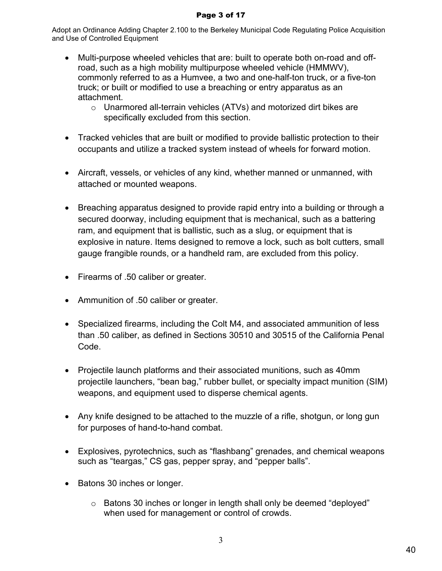#### Page 3 of 17

Adopt an Ordinance Adding Chapter 2.100 to the Berkeley Municipal Code Regulating Police Acquisition and Use of Controlled Equipment

- Multi-purpose wheeled vehicles that are: built to operate both on-road and offroad, such as a high mobility multipurpose wheeled vehicle (HMMWV), commonly referred to as a Humvee, a two and one-half-ton truck, or a five-ton truck; or built or modified to use a breaching or entry apparatus as an attachment.
	- o Unarmored all-terrain vehicles (ATVs) and motorized dirt bikes are specifically excluded from this section.
- Tracked vehicles that are built or modified to provide ballistic protection to their occupants and utilize a tracked system instead of wheels for forward motion.
- Aircraft, vessels, or vehicles of any kind, whether manned or unmanned, with attached or mounted weapons.
- Breaching apparatus designed to provide rapid entry into a building or through a secured doorway, including equipment that is mechanical, such as a battering ram, and equipment that is ballistic, such as a slug, or equipment that is explosive in nature. Items designed to remove a lock, such as bolt cutters, small gauge frangible rounds, or a handheld ram, are excluded from this policy.
- Firearms of .50 caliber or greater.
- Ammunition of .50 caliber or greater.
- Specialized firearms, including the Colt M4, and associated ammunition of less than .50 caliber, as defined in Sections 30510 and 30515 of the California Penal Code.
- Projectile launch platforms and their associated munitions, such as 40mm projectile launchers, "bean bag," rubber bullet, or specialty impact munition (SIM) weapons, and equipment used to disperse chemical agents.
- Any knife designed to be attached to the muzzle of a rifle, shotgun, or long gun for purposes of hand-to-hand combat.
- Explosives, pyrotechnics, such as "flashbang" grenades, and chemical weapons such as "teargas," CS gas, pepper spray, and "pepper balls".
- Batons 30 inches or longer.
	- o Batons 30 inches or longer in length shall only be deemed "deployed" when used for management or control of crowds.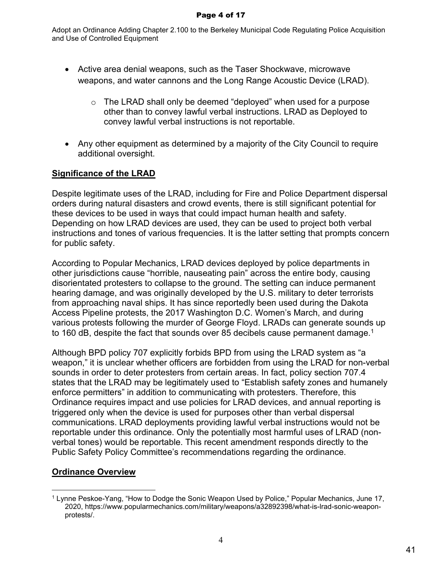Adopt an Ordinance Adding Chapter 2.100 to the Berkeley Municipal Code Regulating Police Acquisition and Use of Controlled Equipment

- Active area denial weapons, such as the Taser Shockwave, microwave weapons, and water cannons and the Long Range Acoustic Device (LRAD).
	- $\circ$  The LRAD shall only be deemed "deployed" when used for a purpose other than to convey lawful verbal instructions. LRAD as Deployed to convey lawful verbal instructions is not reportable.
- Any other equipment as determined by a majority of the City Council to require additional oversight.

# **Significance of the LRAD**

Despite legitimate uses of the LRAD, including for Fire and Police Department dispersal orders during natural disasters and crowd events, there is still significant potential for these devices to be used in ways that could impact human health and safety. Depending on how LRAD devices are used, they can be used to project both verbal instructions and tones of various frequencies. It is the latter setting that prompts concern for public safety.

According to Popular Mechanics, LRAD devices deployed by police departments in other jurisdictions cause "horrible, nauseating pain" across the entire body, causing disorientated protesters to collapse to the ground. The setting can induce permanent hearing damage, and was originally developed by the U.S. military to deter terrorists from approaching naval ships. It has since reportedly been used during the Dakota Access Pipeline protests, the 2017 Washington D.C. Women's March, and during various protests following the murder of George Floyd. LRADs can generate sounds up to 160 dB, despite the fact that sounds over 85 decibels cause permanent damage.<sup>1</sup>

Although BPD policy 707 explicitly forbids BPD from using the LRAD system as "a weapon," it is unclear whether officers are forbidden from using the LRAD for non-verbal sounds in order to deter protesters from certain areas. In fact, policy section 707.4 states that the LRAD may be legitimately used to "Establish safety zones and humanely enforce permitters" in addition to communicating with protesters. Therefore, this Ordinance requires impact and use policies for LRAD devices, and annual reporting is triggered only when the device is used for purposes other than verbal dispersal communications. LRAD deployments providing lawful verbal instructions would not be reportable under this ordinance. Only the potentially most harmful uses of LRAD (nonverbal tones) would be reportable. This recent amendment responds directly to the Public Safety Policy Committee's recommendations regarding the ordinance.

# **Ordinance Overview**

<sup>1</sup> Lynne Peskoe-Yang, "How to Dodge the Sonic Weapon Used by Police," Popular Mechanics, June 17, 2020, https://www.popularmechanics.com/military/weapons/a32892398/what-is-lrad-sonic-weaponprotests/.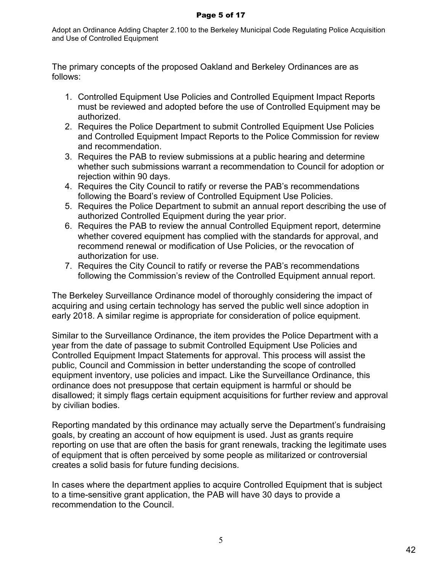#### Page 5 of 17

Adopt an Ordinance Adding Chapter 2.100 to the Berkeley Municipal Code Regulating Police Acquisition and Use of Controlled Equipment

The primary concepts of the proposed Oakland and Berkeley Ordinances are as follows:

- 1. Controlled Equipment Use Policies and Controlled Equipment Impact Reports must be reviewed and adopted before the use of Controlled Equipment may be authorized.
- 2. Requires the Police Department to submit Controlled Equipment Use Policies and Controlled Equipment Impact Reports to the Police Commission for review and recommendation.
- 3. Requires the PAB to review submissions at a public hearing and determine whether such submissions warrant a recommendation to Council for adoption or rejection within 90 days.
- 4. Requires the City Council to ratify or reverse the PAB's recommendations following the Board's review of Controlled Equipment Use Policies.
- 5. Requires the Police Department to submit an annual report describing the use of authorized Controlled Equipment during the year prior.
- 6. Requires the PAB to review the annual Controlled Equipment report, determine whether covered equipment has complied with the standards for approval, and recommend renewal or modification of Use Policies, or the revocation of authorization for use.
- 7. Requires the City Council to ratify or reverse the PAB's recommendations following the Commission's review of the Controlled Equipment annual report.

The Berkeley Surveillance Ordinance model of thoroughly considering the impact of acquiring and using certain technology has served the public well since adoption in early 2018. A similar regime is appropriate for consideration of police equipment.

Similar to the Surveillance Ordinance, the item provides the Police Department with a year from the date of passage to submit Controlled Equipment Use Policies and Controlled Equipment Impact Statements for approval. This process will assist the public, Council and Commission in better understanding the scope of controlled equipment inventory, use policies and impact. Like the Surveillance Ordinance, this ordinance does not presuppose that certain equipment is harmful or should be disallowed; it simply flags certain equipment acquisitions for further review and approval by civilian bodies.

Reporting mandated by this ordinance may actually serve the Department's fundraising goals, by creating an account of how equipment is used. Just as grants require reporting on use that are often the basis for grant renewals, tracking the legitimate uses of equipment that is often perceived by some people as militarized or controversial creates a solid basis for future funding decisions.

In cases where the department applies to acquire Controlled Equipment that is subject to a time-sensitive grant application, the PAB will have 30 days to provide a recommendation to the Council.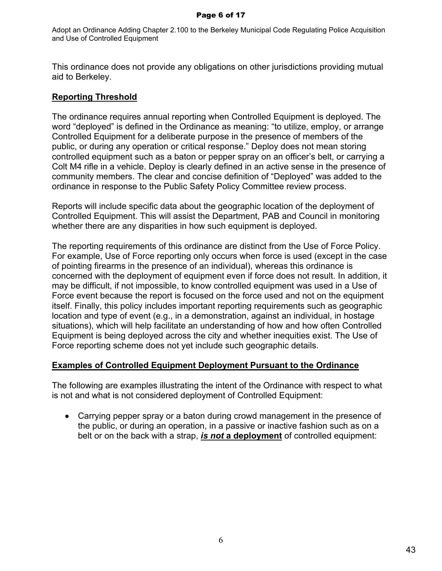#### Page 6 of 17

Adopt an Ordinance Adding Chapter 2.100 to the Berkeley Municipal Code Regulating Police Acquisition and Use of Controlled Equipment

This ordinance does not provide any obligations on other jurisdictions providing mutual aid to Berkeley.

#### **Reporting Threshold**

The ordinance requires annual reporting when Controlled Equipment is deployed. The word "deployed" is defined in the Ordinance as meaning: "to utilize, employ, or arrange Controlled Equipment for a deliberate purpose in the presence of members of the public, or during any operation or critical response." Deploy does not mean storing controlled equipment such as a baton or pepper spray on an officer's belt, or carrying a Colt M4 rifle in a vehicle. Deploy is clearly defined in an active sense in the presence of community members. The clear and concise definition of "Deployed" was added to the ordinance in response to the Public Safety Policy Committee review process.

Reports will include specific data about the geographic location of the deployment of Controlled Equipment. This will assist the Department, PAB and Council in monitoring whether there are any disparities in how such equipment is deployed.

The reporting requirements of this ordinance are distinct from the Use of Force Policy. For example, Use of Force reporting only occurs when force is used (except in the case of pointing firearms in the presence of an individual), whereas this ordinance is concerned with the deployment of equipment even if force does not result. In addition, it may be difficult, if not impossible, to know controlled equipment was used in a Use of Force event because the report is focused on the force used and not on the equipment itself. Finally, this policy includes important reporting requirements such as geographic location and type of event (e.g., in a demonstration, against an individual, in hostage situations), which will help facilitate an understanding of how and how often Controlled Equipment is being deployed across the city and whether inequities exist. The Use of Force reporting scheme does not yet include such geographic details.

# **Examples of Controlled Equipment Deployment Pursuant to the Ordinance**

The following are examples illustrating the intent of the Ordinance with respect to what is not and what is not considered deployment of Controlled Equipment:

 Carrying pepper spray or a baton during crowd management in the presence of the public, or during an operation, in a passive or inactive fashion such as on a belt or on the back with a strap, *is not* **a deployment** of controlled equipment: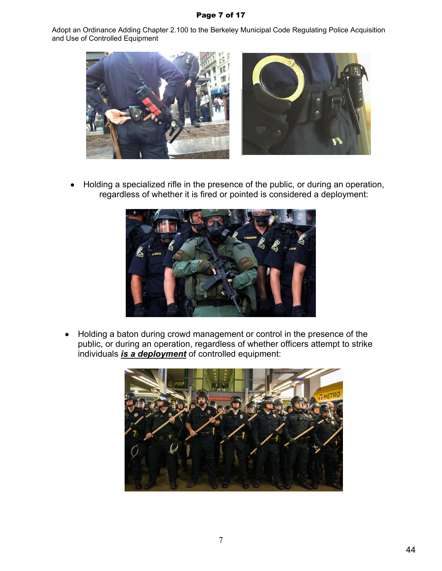#### Page 7 of 17

Adopt an Ordinance Adding Chapter 2.100 to the Berkeley Municipal Code Regulating Police Acquisition and Use of Controlled Equipment



 Holding a specialized rifle in the presence of the public, or during an operation, regardless of whether it is fired or pointed is considered a deployment:



• Holding a baton during crowd management or control in the presence of the public, or during an operation, regardless of whether officers attempt to strike individuals *is a deployment* of controlled equipment:

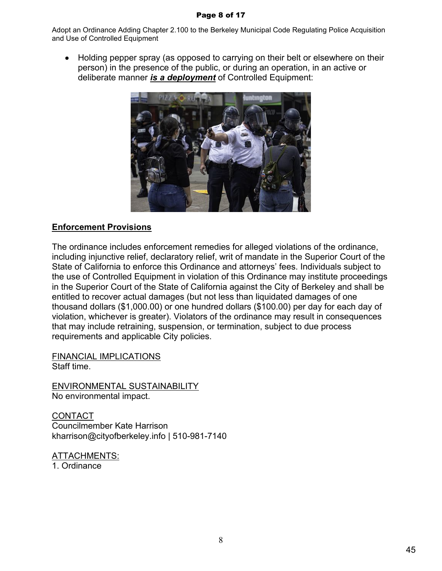#### Page 8 of 17

Adopt an Ordinance Adding Chapter 2.100 to the Berkeley Municipal Code Regulating Police Acquisition and Use of Controlled Equipment

 Holding pepper spray (as opposed to carrying on their belt or elsewhere on their person) in the presence of the public, or during an operation, in an active or deliberate manner *is a deployment* of Controlled Equipment:



#### **Enforcement Provisions**

The ordinance includes enforcement remedies for alleged violations of the ordinance, including injunctive relief, declaratory relief, writ of mandate in the Superior Court of the State of California to enforce this Ordinance and attorneys' fees. Individuals subject to the use of Controlled Equipment in violation of this Ordinance may institute proceedings in the Superior Court of the State of California against the City of Berkeley and shall be entitled to recover actual damages (but not less than liquidated damages of one thousand dollars (\$1,000.00) or one hundred dollars (\$100.00) per day for each day of violation, whichever is greater). Violators of the ordinance may result in consequences that may include retraining, suspension, or termination, subject to due process requirements and applicable City policies.

FINANCIAL IMPLICATIONS Staff time.

ENVIRONMENTAL SUSTAINABILITY No environmental impact.

CONTACT Councilmember Kate Harrison kharrison@cityofberkeley.info | 510-981-7140

ATTACHMENTS: 1. Ordinance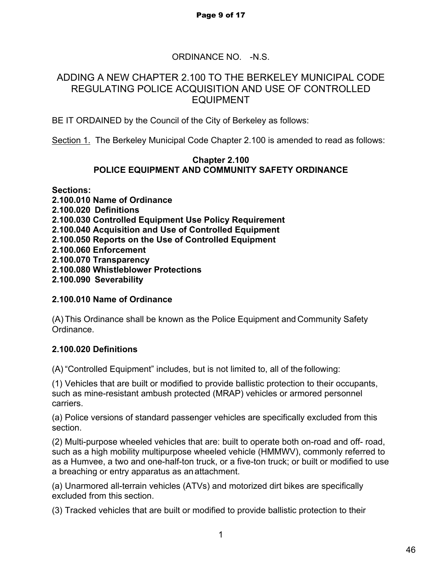# ORDINANCE NO. -N.S.

## ADDING A NEW CHAPTER 2.100 TO THE BERKELEY MUNICIPAL CODE REGULATING POLICE ACQUISITION AND USE OF CONTROLLED EQUIPMENT

BE IT ORDAINED by the Council of the City of Berkeley as follows:

Section 1. The Berkeley Municipal Code Chapter 2.100 is amended to read as follows:

#### **Chapter 2.100 POLICE EQUIPMENT AND COMMUNITY SAFETY ORDINANCE**

**Sections: 2.100.010 Name of Ordinance 2.100.020 Definitions 2.100.030 Controlled Equipment Use Policy Requirement 2.100.040 Acquisition and Use of Controlled Equipment 2.100.050 Reports on the Use of Controlled Equipment 2.100.060 Enforcement 2.100.070 Transparency 2.100.080 Whistleblower Protections 2.100.090 Severability**

# **2.100.010 Name of Ordinance**

(A) This Ordinance shall be known as the Police Equipment and Community Safety Ordinance.

# **2.100.020 Definitions**

(A) "Controlled Equipment" includes, but is not limited to, all of the following:

(1) Vehicles that are built or modified to provide ballistic protection to their occupants, such as mine-resistant ambush protected (MRAP) vehicles or armored personnel carriers.

(a) Police versions of standard passenger vehicles are specifically excluded from this section.

(2) Multi-purpose wheeled vehicles that are: built to operate both on-road and off- road, such as a high mobility multipurpose wheeled vehicle (HMMWV), commonly referred to as a Humvee, a two and one-half-ton truck, or a five-ton truck; or built or modified to use a breaching or entry apparatus as an attachment.

(a) Unarmored all-terrain vehicles (ATVs) and motorized dirt bikes are specifically excluded from this section.

(3) Tracked vehicles that are built or modified to provide ballistic protection to their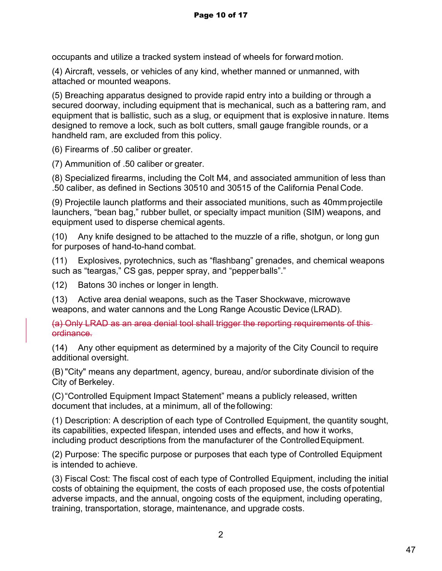occupants and utilize a tracked system instead of wheels for forward motion.

(4) Aircraft, vessels, or vehicles of any kind, whether manned or unmanned, with attached or mounted weapons.

(5) Breaching apparatus designed to provide rapid entry into a building or through a secured doorway, including equipment that is mechanical, such as a battering ram, and equipment that is ballistic, such as a slug, or equipment that is explosive in nature. Items designed to remove a lock, such as bolt cutters, small gauge frangible rounds, or a handheld ram, are excluded from this policy.

(6) Firearms of .50 caliber or greater.

(7) Ammunition of .50 caliber or greater.

(8) Specialized firearms, including the Colt M4, and associated ammunition of less than .50 caliber, as defined in Sections 30510 and 30515 of the California Penal Code.

(9) Projectile launch platforms and their associated munitions, such as 40mm projectile launchers, "bean bag," rubber bullet, or specialty impact munition (SIM) weapons, and equipment used to disperse chemical agents.

(10) Any knife designed to be attached to the muzzle of a rifle, shotgun, or long gun for purposes of hand-to-hand combat.

(11) Explosives, pyrotechnics, such as "flashbang" grenades, and chemical weapons such as "teargas," CS gas, pepper spray, and "pepper balls"."

(12) Batons 30 inches or longer in length.

(13) Active area denial weapons, such as the Taser Shockwave, microwave weapons, and water cannons and the Long Range Acoustic Device (LRAD).

(a) Only LRAD as an area denial tool shall trigger the reporting requirements of this ordinance.

(14) Any other equipment as determined by a majority of the City Council to require additional oversight.

(B) "City" means any department, agency, bureau, and/or subordinate division of the City of Berkeley.

(C)"Controlled Equipment Impact Statement" means a publicly released, written document that includes, at a minimum, all of the following:

(1) Description: A description of each type of Controlled Equipment, the quantity sought, its capabilities, expected lifespan, intended uses and effects, and how it works, including product descriptions from the manufacturer of the Controlled Equipment.

(2) Purpose: The specific purpose or purposes that each type of Controlled Equipment is intended to achieve.

(3) Fiscal Cost: The fiscal cost of each type of Controlled Equipment, including the initial costs of obtaining the equipment, the costs of each proposed use, the costs of potential adverse impacts, and the annual, ongoing costs of the equipment, including operating, training, transportation, storage, maintenance, and upgrade costs.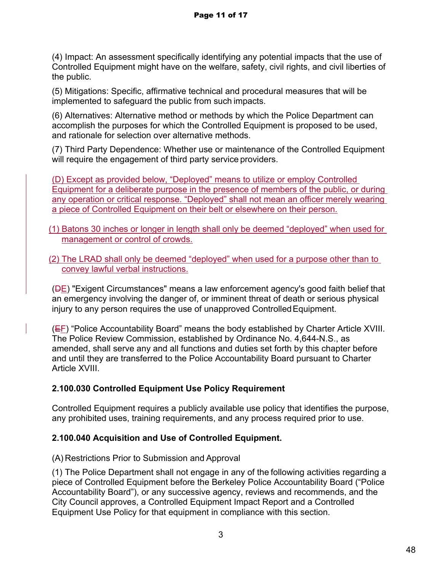(4) Impact: An assessment specifically identifying any potential impacts that the use of Controlled Equipment might have on the welfare, safety, civil rights, and civil liberties of the public.

(5) Mitigations: Specific, affirmative technical and procedural measures that will be implemented to safeguard the public from such impacts.

(6) Alternatives: Alternative method or methods by which the Police Department can accomplish the purposes for which the Controlled Equipment is proposed to be used, and rationale for selection over alternative methods.

(7) Third Party Dependence: Whether use or maintenance of the Controlled Equipment will require the engagement of third party service providers.

(D) Except as provided below, "Deployed" means to utilize or employ Controlled Equipment for a deliberate purpose in the presence of members of the public, or during any operation or critical response. "Deployed" shall not mean an officer merely wearing a piece of Controlled Equipment on their belt or elsewhere on their person.

- (1) Batons 30 inches or longer in length shall only be deemed "deployed" when used for management or control of crowds.
- (2) The LRAD shall only be deemed "deployed" when used for a purpose other than to convey lawful verbal instructions.

(DE) "Exigent Circumstances" means a law enforcement agency's good faith belief that an emergency involving the danger of, or imminent threat of death or serious physical injury to any person requires the use of unapproved Controlled Equipment.

(EF) "Police Accountability Board" means the body established by Charter Article XVIII. The Police Review Commission, established by Ordinance No. 4,644-N.S., as amended, shall serve any and all functions and duties set forth by this chapter before and until they are transferred to the Police Accountability Board pursuant to Charter Article XVIII.

# **2.100.030 Controlled Equipment Use Policy Requirement**

Controlled Equipment requires a publicly available use policy that identifies the purpose, any prohibited uses, training requirements, and any process required prior to use.

# **2.100.040 Acquisition and Use of Controlled Equipment.**

(A) Restrictions Prior to Submission and Approval

(1) The Police Department shall not engage in any of the following activities regarding a piece of Controlled Equipment before the Berkeley Police Accountability Board ("Police Accountability Board"), or any successive agency, reviews and recommends, and the City Council approves, a Controlled Equipment Impact Report and a Controlled Equipment Use Policy for that equipment in compliance with this section.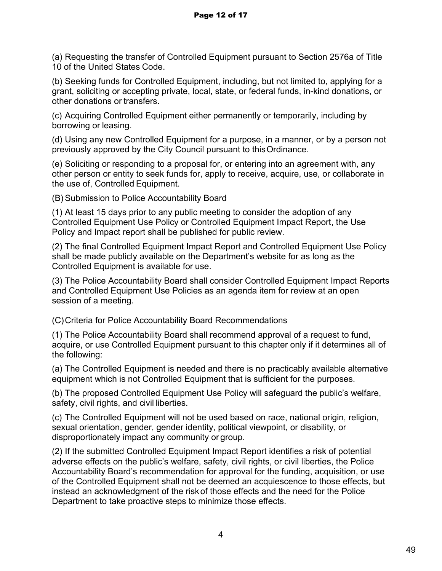(a) Requesting the transfer of Controlled Equipment pursuant to Section 2576a of Title 10 of the United States Code.

(b) Seeking funds for Controlled Equipment, including, but not limited to, applying for a grant, soliciting or accepting private, local, state, or federal funds, in-kind donations, or other donations or transfers.

(c) Acquiring Controlled Equipment either permanently or temporarily, including by borrowing or leasing.

(d) Using any new Controlled Equipment for a purpose, in a manner, or by a person not previously approved by the City Council pursuant to this Ordinance.

(e) Soliciting or responding to a proposal for, or entering into an agreement with, any other person or entity to seek funds for, apply to receive, acquire, use, or collaborate in the use of, Controlled Equipment.

(B) Submission to Police Accountability Board

(1) At least 15 days prior to any public meeting to consider the adoption of any Controlled Equipment Use Policy or Controlled Equipment Impact Report, the Use Policy and Impact report shall be published for public review.

(2) The final Controlled Equipment Impact Report and Controlled Equipment Use Policy shall be made publicly available on the Department's website for as long as the Controlled Equipment is available for use.

(3) The Police Accountability Board shall consider Controlled Equipment Impact Reports and Controlled Equipment Use Policies as an agenda item for review at an open session of a meeting.

(C)Criteria for Police Accountability Board Recommendations

(1) The Police Accountability Board shall recommend approval of a request to fund, acquire, or use Controlled Equipment pursuant to this chapter only if it determines all of the following:

(a) The Controlled Equipment is needed and there is no practicably available alternative equipment which is not Controlled Equipment that is sufficient for the purposes.

(b) The proposed Controlled Equipment Use Policy will safeguard the public's welfare, safety, civil rights, and civil liberties.

(c) The Controlled Equipment will not be used based on race, national origin, religion, sexual orientation, gender, gender identity, political viewpoint, or disability, or disproportionately impact any community or group.

(2) If the submitted Controlled Equipment Impact Report identifies a risk of potential adverse effects on the public's welfare, safety, civil rights, or civil liberties, the Police Accountability Board's recommendation for approval for the funding, acquisition, or use of the Controlled Equipment shall not be deemed an acquiescence to those effects, but instead an acknowledgment of the risk of those effects and the need for the Police Department to take proactive steps to minimize those effects.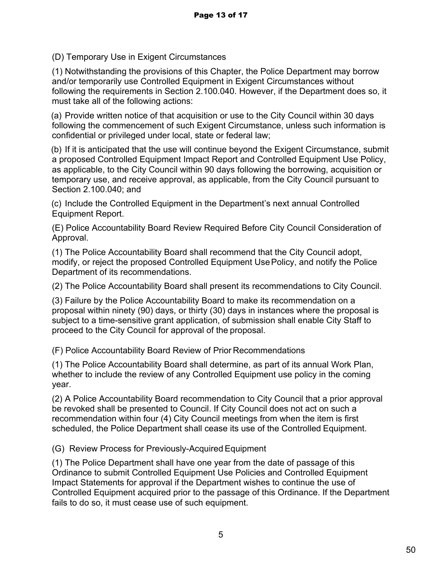(D) Temporary Use in Exigent Circumstances

(1) Notwithstanding the provisions of this Chapter, the Police Department may borrow and/or temporarily use Controlled Equipment in Exigent Circumstances without following the requirements in Section 2.100.040. However, if the Department does so, it must take all of the following actions:

(a) Provide written notice of that acquisition or use to the City Council within 30 days following the commencement of such Exigent Circumstance, unless such information is confidential or privileged under local, state or federal law;

(b) If it is anticipated that the use will continue beyond the Exigent Circumstance, submit a proposed Controlled Equipment Impact Report and Controlled Equipment Use Policy, as applicable, to the City Council within 90 days following the borrowing, acquisition or temporary use, and receive approval, as applicable, from the City Council pursuant to Section 2.100.040; and

(c) Include the Controlled Equipment in the Department's next annual Controlled Equipment Report.

(E) Police Accountability Board Review Required Before City Council Consideration of Approval.

(1) The Police Accountability Board shall recommend that the City Council adopt, modify, or reject the proposed Controlled Equipment Use Policy, and notify the Police Department of its recommendations.

(2) The Police Accountability Board shall present its recommendations to City Council.

(3) Failure by the Police Accountability Board to make its recommendation on a proposal within ninety (90) days, or thirty (30) days in instances where the proposal is subject to a time-sensitive grant application, of submission shall enable City Staff to proceed to the City Council for approval of the proposal.

(F) Police Accountability Board Review of Prior Recommendations

(1) The Police Accountability Board shall determine, as part of its annual Work Plan, whether to include the review of any Controlled Equipment use policy in the coming year.

(2) A Police Accountability Board recommendation to City Council that a prior approval be revoked shall be presented to Council. If City Council does not act on such a recommendation within four (4) City Council meetings from when the item is first scheduled, the Police Department shall cease its use of the Controlled Equipment.

(G) Review Process for Previously-Acquired Equipment

(1) The Police Department shall have one year from the date of passage of this Ordinance to submit Controlled Equipment Use Policies and Controlled Equipment Impact Statements for approval if the Department wishes to continue the use of Controlled Equipment acquired prior to the passage of this Ordinance. If the Department fails to do so, it must cease use of such equipment.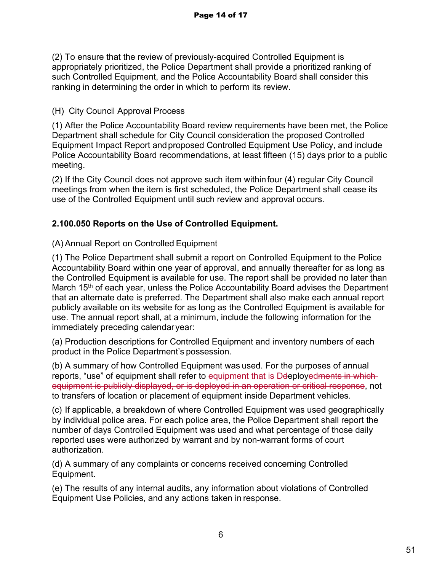(2) To ensure that the review of previously-acquired Controlled Equipment is appropriately prioritized, the Police Department shall provide a prioritized ranking of such Controlled Equipment, and the Police Accountability Board shall consider this ranking in determining the order in which to perform its review.

(H) City Council Approval Process

(1) After the Police Accountability Board review requirements have been met, the Police Department shall schedule for City Council consideration the proposed Controlled Equipment Impact Report and proposed Controlled Equipment Use Policy, and include Police Accountability Board recommendations, at least fifteen (15) days prior to a public meeting.

(2) If the City Council does not approve such item within four (4) regular City Council meetings from when the item is first scheduled, the Police Department shall cease its use of the Controlled Equipment until such review and approval occurs.

# **2.100.050 Reports on the Use of Controlled Equipment.**

# (A) Annual Report on Controlled Equipment

(1) The Police Department shall submit a report on Controlled Equipment to the Police Accountability Board within one year of approval, and annually thereafter for as long as the Controlled Equipment is available for use. The report shall be provided no later than March 15<sup>th</sup> of each year, unless the Police Accountability Board advises the Department that an alternate date is preferred. The Department shall also make each annual report publicly available on its website for as long as the Controlled Equipment is available for use. The annual report shall, at a minimum, include the following information for the immediately preceding calendar year:

(a) Production descriptions for Controlled Equipment and inventory numbers of each product in the Police Department's possession.

(b) A summary of how Controlled Equipment was used. For the purposes of annual reports, "use" of equipment shall refer to equipment that is Deeployed ments in whichequipment is publicly displayed, or is deployed in an operation or critical response, not to transfers of location or placement of equipment inside Department vehicles.

(c) If applicable, a breakdown of where Controlled Equipment was used geographically by individual police area. For each police area, the Police Department shall report the number of days Controlled Equipment was used and what percentage of those daily reported uses were authorized by warrant and by non-warrant forms of court authorization.

(d) A summary of any complaints or concerns received concerning Controlled Equipment.

(e) The results of any internal audits, any information about violations of Controlled Equipment Use Policies, and any actions taken in response.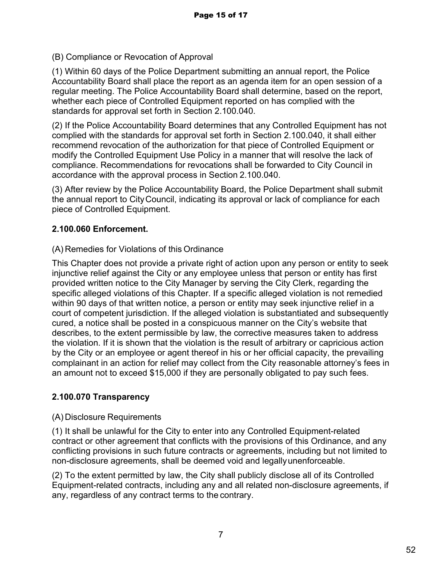(B) Compliance or Revocation of Approval

(1) Within 60 days of the Police Department submitting an annual report, the Police Accountability Board shall place the report as an agenda item for an open session of a regular meeting. The Police Accountability Board shall determine, based on the report, whether each piece of Controlled Equipment reported on has complied with the standards for approval set forth in Section 2.100.040.

(2) If the Police Accountability Board determines that any Controlled Equipment has not complied with the standards for approval set forth in Section 2.100.040, it shall either recommend revocation of the authorization for that piece of Controlled Equipment or modify the Controlled Equipment Use Policy in a manner that will resolve the lack of compliance. Recommendations for revocations shall be forwarded to City Council in accordance with the approval process in Section 2.100.040.

(3) After review by the Police Accountability Board, the Police Department shall submit the annual report to City Council, indicating its approval or lack of compliance for each piece of Controlled Equipment.

#### **2.100.060 Enforcement.**

#### (A) Remedies for Violations of this Ordinance

This Chapter does not provide a private right of action upon any person or entity to seek injunctive relief against the City or any employee unless that person or entity has first provided written notice to the City Manager by serving the City Clerk, regarding the specific alleged violations of this Chapter. If a specific alleged violation is not remedied within 90 days of that written notice, a person or entity may seek injunctive relief in a court of competent jurisdiction. If the alleged violation is substantiated and subsequently cured, a notice shall be posted in a conspicuous manner on the City's website that describes, to the extent permissible by law, the corrective measures taken to address the violation. If it is shown that the violation is the result of arbitrary or capricious action by the City or an employee or agent thereof in his or her official capacity, the prevailing complainant in an action for relief may collect from the City reasonable attorney's fees in an amount not to exceed \$15,000 if they are personally obligated to pay such fees.

#### **2.100.070 Transparency**

#### (A) Disclosure Requirements

(1) It shall be unlawful for the City to enter into any Controlled Equipment-related contract or other agreement that conflicts with the provisions of this Ordinance, and any conflicting provisions in such future contracts or agreements, including but not limited to non-disclosure agreements, shall be deemed void and legally unenforceable.

(2) To the extent permitted by law, the City shall publicly disclose all of its Controlled Equipment-related contracts, including any and all related non-disclosure agreements, if any, regardless of any contract terms to the contrary.